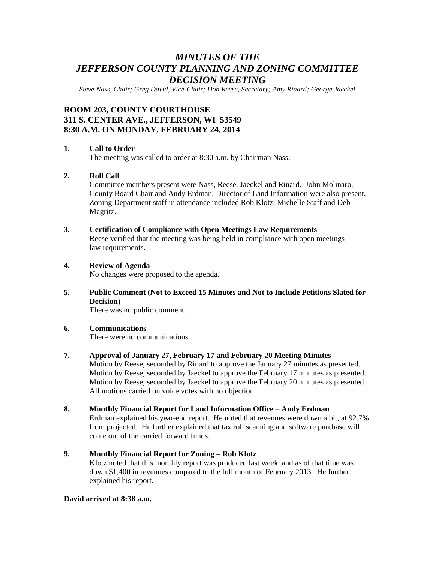# *MINUTES OF THE JEFFERSON COUNTY PLANNING AND ZONING COMMITTEE DECISION MEETING*

*Steve Nass, Chair; Greg David, Vice-Chair; Don Reese, Secretary; Amy Rinard; George Jaeckel*

## **ROOM 203, COUNTY COURTHOUSE 311 S. CENTER AVE., JEFFERSON, WI 53549 8:30 A.M. ON MONDAY, FEBRUARY 24, 2014**

### **1. Call to Order**

The meeting was called to order at 8:30 a.m. by Chairman Nass.

## **2. Roll Call**

Committee members present were Nass, Reese, Jaeckel and Rinard. John Molinaro, County Board Chair and Andy Erdman, Director of Land Information were also present. Zoning Department staff in attendance included Rob Klotz, Michelle Staff and Deb Magritz.

### **3. Certification of Compliance with Open Meetings Law Requirements**

Reese verified that the meeting was being held in compliance with open meetings law requirements.

### **4. Review of Agenda**

No changes were proposed to the agenda.

**5. Public Comment (Not to Exceed 15 Minutes and Not to Include Petitions Slated for Decision)**

There was no public comment.

### **6. Communications**

There were no communications.

### **7. Approval of January 27, February 17 and February 20 Meeting Minutes**

Motion by Reese, seconded by Rinard to approve the January 27 minutes as presented. Motion by Reese, seconded by Jaeckel to approve the February 17 minutes as presented. Motion by Reese, seconded by Jaeckel to approve the February 20 minutes as presented. All motions carried on voice votes with no objection.

### **8. Monthly Financial Report for Land Information Office – Andy Erdman**

Erdman explained his year-end report. He noted that revenues were down a bit, at 92.7% from projected. He further explained that tax roll scanning and software purchase will come out of the carried forward funds.

## **9. Monthly Financial Report for Zoning – Rob Klotz**

Klotz noted that this monthly report was produced last week, and as of that time was down \$1,400 in revenues compared to the full month of February 2013. He further explained his report.

#### **David arrived at 8:38 a.m.**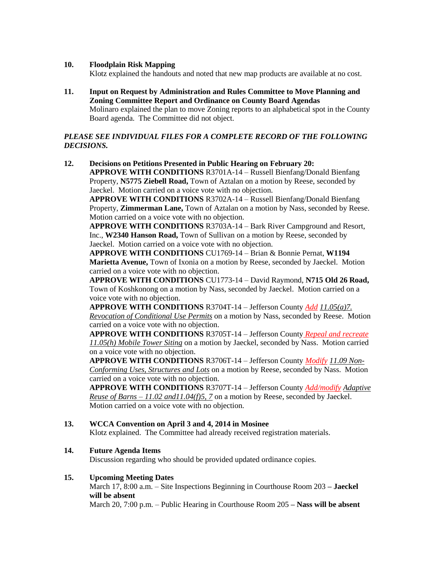## **10. Floodplain Risk Mapping**

Klotz explained the handouts and noted that new map products are available at no cost.

**11. Input on Request by Administration and Rules Committee to Move Planning and Zoning Committee Report and Ordinance on County Board Agendas** Molinaro explained the plan to move Zoning reports to an alphabetical spot in the County Board agenda. The Committee did not object.

## *PLEASE SEE INDIVIDUAL FILES FOR A COMPLETE RECORD OF THE FOLLOWING DECISIONS.*

**12. Decisions on Petitions Presented in Public Hearing on February 20: APPROVE WITH CONDITIONS** R3701A-14 – Russell Bienfang/Donald Bienfang Property, **N5775 Ziebell Road,** Town of Aztalan on a motion by Reese, seconded by Jaeckel. Motion carried on a voice vote with no objection.

**APPROVE WITH CONDITIONS** R3702A-14 – Russell Bienfang/Donald Bienfang Property, **Zimmerman Lane,** Town of Aztalan on a motion by Nass, seconded by Reese. Motion carried on a voice vote with no objection.

**APPROVE WITH CONDITIONS** R3703A-14 – Bark River Campground and Resort, Inc., **W2340 Hanson Road,** Town of Sullivan on a motion by Reese, seconded by Jaeckel. Motion carried on a voice vote with no objection.

**APPROVE WITH CONDITIONS** CU1769-14 – Brian & Bonnie Pernat, **W1194 Marietta Avenue,** Town of Ixonia on a motion by Reese, seconded by Jaeckel. Motion carried on a voice vote with no objection.

**APPROVE WITH CONDITIONS** CU1773-14 – David Raymond, **N715 Old 26 Road,**  Town of Koshkonong on a motion by Nass, seconded by Jaeckel. Motion carried on a voice vote with no objection.

**APPROVE WITH CONDITIONS** R3704T-14 – Jefferson County *Add 11.05(a)7. Revocation of Conditional Use Permits* on a motion by Nass, seconded by Reese. Motion carried on a voice vote with no objection.

**APPROVE WITH CONDITIONS** R3705T-14 – Jefferson County *Repeal and recreate 11.05(h) Mobile Tower Siting* on a motion by Jaeckel, seconded by Nass. Motion carried on a voice vote with no objection.

**APPROVE WITH CONDITIONS** R3706T-14 – Jefferson County *Modify 11.09 Non-Conforming Uses, Structures and Lots* on a motion by Reese, seconded by Nass. Motion carried on a voice vote with no objection.

**APPROVE WITH CONDITIONS** R3707T-14 – Jefferson County *Add/modify Adaptive Reuse of Barns – 11.02 and11.04(f)5, 7* on a motion by Reese, seconded by Jaeckel. Motion carried on a voice vote with no objection.

## **13. WCCA Convention on April 3 and 4, 2014 in Mosinee**

Klotz explained. The Committee had already received registration materials.

## **14. Future Agenda Items**

Discussion regarding who should be provided updated ordinance copies.

## **15. Upcoming Meeting Dates**

March 17, 8:00 a.m. – Site Inspections Beginning in Courthouse Room 203 **– Jaeckel will be absent**

March 20, 7:00 p.m. – Public Hearing in Courthouse Room 205 **– Nass will be absent**